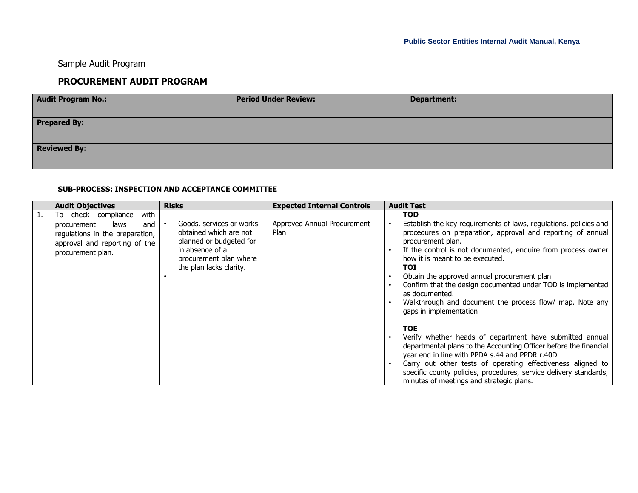## Sample Audit Program

## **PROCUREMENT AUDIT PROGRAM**

| <b>Audit Program No.:</b> | <b>Period Under Review:</b> | <b>Department:</b> |  |  |  |  |  |
|---------------------------|-----------------------------|--------------------|--|--|--|--|--|
|                           |                             |                    |  |  |  |  |  |
| <b>Prepared By:</b>       |                             |                    |  |  |  |  |  |
|                           |                             |                    |  |  |  |  |  |
| <b>Reviewed By:</b>       |                             |                    |  |  |  |  |  |
|                           |                             |                    |  |  |  |  |  |

## **SUB-PROCESS: INSPECTION AND ACCEPTANCE COMMITTEE**

|    | <b>Audit Objectives</b>                                                                                                                            | <b>Risks</b>                                                                                                                                          | <b>Expected Internal Controls</b>   | <b>Audit Test</b>                                                                                                                                                                                                                                                                                                                                                                                                                                                                                   |
|----|----------------------------------------------------------------------------------------------------------------------------------------------------|-------------------------------------------------------------------------------------------------------------------------------------------------------|-------------------------------------|-----------------------------------------------------------------------------------------------------------------------------------------------------------------------------------------------------------------------------------------------------------------------------------------------------------------------------------------------------------------------------------------------------------------------------------------------------------------------------------------------------|
| 1. | with<br>To check compliance<br>procurement<br>laws<br>and<br>regulations in the preparation,<br>approval and reporting of the<br>procurement plan. | Goods, services or works<br>obtained which are not<br>planned or budgeted for<br>in absence of a<br>procurement plan where<br>the plan lacks clarity. | Approved Annual Procurement<br>Plan | <b>TOD</b><br>Establish the key requirements of laws, regulations, policies and<br>procedures on preparation, approval and reporting of annual<br>procurement plan.<br>If the control is not documented, enquire from process owner<br>how it is meant to be executed.<br>TOI<br>Obtain the approved annual procurement plan<br>Confirm that the design documented under TOD is implemented<br>as documented.<br>Walkthrough and document the process flow/ map. Note any<br>gaps in implementation |
|    |                                                                                                                                                    |                                                                                                                                                       |                                     | <b>TOE</b><br>Verify whether heads of department have submitted annual<br>departmental plans to the Accounting Officer before the financial<br>year end in line with PPDA s.44 and PPDR r.40D<br>Carry out other tests of operating effectiveness aligned to<br>specific county policies, procedures, service delivery standards,<br>minutes of meetings and strategic plans.                                                                                                                       |